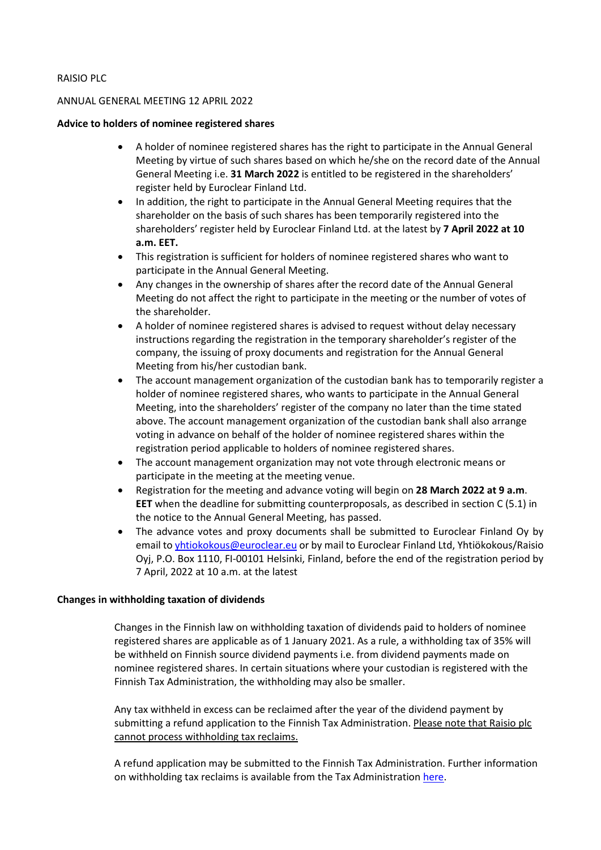## RAISIO PLC

## ANNUAL GENERAL MEETING 12 APRIL 2022

## **Advice to holders of nominee registered shares**

- A holder of nominee registered shares has the right to participate in the Annual General Meeting by virtue of such shares based on which he/she on the record date of the Annual General Meeting i.e. **31 March 2022** is entitled to be registered in the shareholders' register held by Euroclear Finland Ltd.
- In addition, the right to participate in the Annual General Meeting requires that the shareholder on the basis of such shares has been temporarily registered into the shareholders' register held by Euroclear Finland Ltd. at the latest by **7 April 2022 at 10 a.m. EET.**
- This registration is sufficient for holders of nominee registered shares who want to participate in the Annual General Meeting.
- Any changes in the ownership of shares after the record date of the Annual General Meeting do not affect the right to participate in the meeting or the number of votes of the shareholder.
- A holder of nominee registered shares is advised to request without delay necessary instructions regarding the registration in the temporary shareholder's register of the company, the issuing of proxy documents and registration for the Annual General Meeting from his/her custodian bank.
- The account management organization of the custodian bank has to temporarily register a holder of nominee registered shares, who wants to participate in the Annual General Meeting, into the shareholders' register of the company no later than the time stated above. The account management organization of the custodian bank shall also arrange voting in advance on behalf of the holder of nominee registered shares within the registration period applicable to holders of nominee registered shares.
- The account management organization may not vote through electronic means or participate in the meeting at the meeting venue.
- Registration for the meeting and advance voting will begin on **28 March 2022 at 9 a.m**. **EET** when the deadline for submitting counterproposals, as described in section C (5.1) in the notice to the Annual General Meeting, has passed.
- The advance votes and proxy documents shall be submitted to Euroclear Finland Oy by email t[o yhtiokokous@euroclear.eu](mailto:yhtiokokous@euroclear.eu) or by mail to Euroclear Finland Ltd, Yhtiökokous/Raisio Oyj, P.O. Box 1110, FI-00101 Helsinki, Finland, before the end of the registration period by 7 April, 2022 at 10 a.m. at the latest

## **Changes in withholding taxation of dividends**

Changes in the Finnish law on withholding taxation of dividends paid to holders of nominee registered shares are applicable as of 1 January 2021. As a rule, a withholding tax of 35% will be withheld on Finnish source dividend payments i.e. from dividend payments made on nominee registered shares. In certain situations where your custodian is registered with the Finnish Tax Administration, the withholding may also be smaller.

Any tax withheld in excess can be reclaimed after the year of the dividend payment by submitting a refund application to the Finnish Tax Administration. Please note that Raisio plc cannot process withholding tax reclaims.

A refund application may be submitted to the Finnish Tax Administration. Further information on withholding tax reclaims is available from the Tax Administration [here.](https://vero.fi/en/businesses-and-corporations/business-operations/financial-sector/digitalisation-of-tax-at-source-applications/)